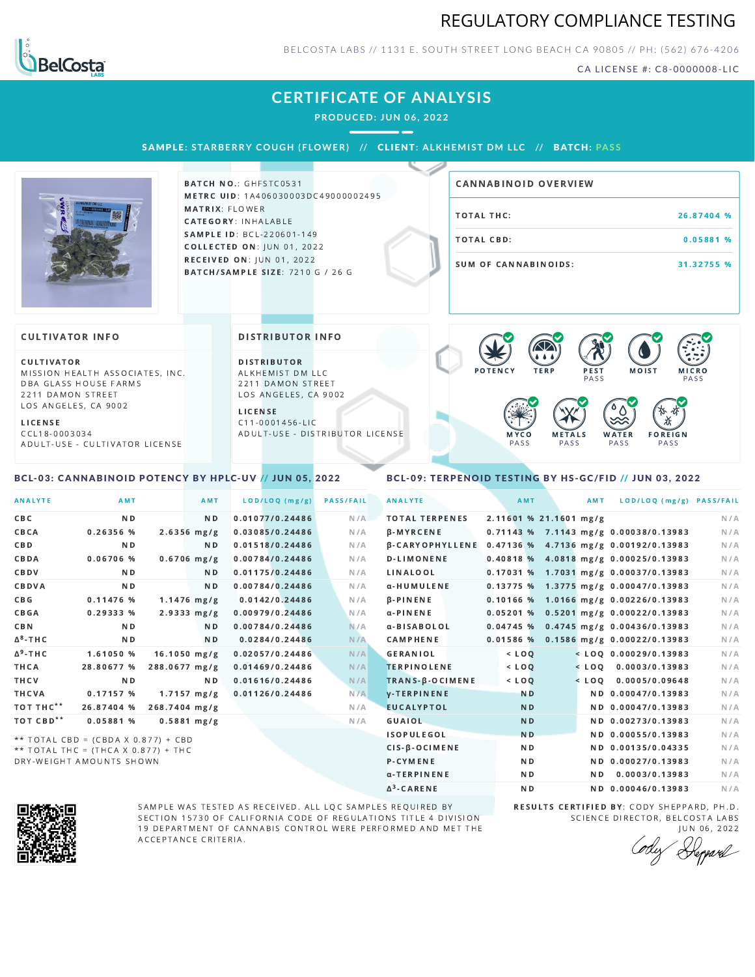### REGULATORY COMPLIANCE TESTING



BELCOSTA LABS // 1131 E. SOUTH STREET LONG BEACH C A 90805 // PH: (562) 676-4206

CA LICENSE #: C8-0000008-LIC

### **CERTIFICATE OF ANALYSIS**

**PRODUCED: JUN 06, 2022**

SAMPLE: STARBERRY COUGH (FLOWER) // CLIENT: ALKHEMIST DM LLC // BATCH: PASS



BATCH NO.: GHFSTC0531 METRC UID: 1A406030003DC49000002495 MATRIX: FLOWER CATEGORY: INHALABLE SAMPLE ID: BCL-220601-149 **COLLECTED ON: JUN 01, 2022** RECEIVED ON: JUN 01, 2022 BATCH/SAMPLE SIZE: 7210 G / 26 G

# TOTAL THC: 26.87404 % TOTAL CBD: 0.05881 % SUM OF CANNABINOIDS: 31.32755 % CANNABINOID OVERVIEW

#### **CULTIVATOR INFO**

CULTIVATOR MISSION HEALTH ASSOCIATES, INC. DBA GLASS HOUSE FARMS 2211 DAMON STREET LOS ANGELES, CA 9002

L I C E N S E

C C L 1 8 - 0 0 0 3 0 3 4 A D U L T - U S E - C U L T I V A T O R L I CENSE

<span id="page-0-0"></span>BCL-03: CANNABINOID POTENCY BY HPLC-UV // JUN 05, 2022

DISTRIBUTOR INFO

D I STRIBUTOR ALKHEMIST DM LLC 2211 DAMON STREET LOS ANGELES, CA 9002

L I C E N S E C 1 1 - 0 0 0 1 4 5 6 - L I C A D U L T - U S E - D I STRIBUTOR LICENSE



### <span id="page-0-1"></span>BCL-09: TERPENOID TESTING BY HS-GC/FID // JUN 03, 2022

| <b>ANALYTE</b>        | AMT                                   |                | <b>AMT</b>              | LOD/LOQ (mg/g)  | <b>PASS/FAIL</b> | <b>ANALYTE</b>                                        | AMT                    | <b>AMT</b> | LOD/LOQ (mg/g) PASS/FAIL                |     |
|-----------------------|---------------------------------------|----------------|-------------------------|-----------------|------------------|-------------------------------------------------------|------------------------|------------|-----------------------------------------|-----|
| CBC                   | N <sub>D</sub>                        |                | N <sub>D</sub>          | 0.01077/0.24486 | N/A              | <b>TOTAL TERPENES</b>                                 | 2.11601 % 21.1601 mg/g |            |                                         | N/A |
| CBCA                  | 0.26356 %                             |                | $2.6356$ mg/g           | 0.03085/0.24486 | N/A              | <b>B-MYRCENE</b>                                      |                        |            | 0.71143 % 7.1143 mg/g 0.00038/0.13983   | N/A |
| <b>CBD</b>            | N <sub>D</sub>                        |                | N <sub>D</sub>          | 0.01518/0.24486 | N/A              | β-CARYOPHYLLENE 0.47136 % 4.7136 mg/g 0.00192/0.13983 |                        |            |                                         | N/A |
| CBDA                  | 0.06706 %                             |                | $0.6706$ mg/g           | 0.00784/0.24486 | N/A              | <b>D-LIMONENE</b>                                     |                        |            | 0.40818 % 4.0818 mg/g 0.00025/0.13983   | N/A |
| CBDV                  | N <sub>D</sub>                        |                | N <sub>D</sub>          | 0.01175/0.24486 | N/A              | LINALOOL                                              |                        |            | $0.17031\%$ 1.7031 mg/g 0.00037/0.13983 | N/A |
| CBDVA                 | N <sub>D</sub>                        |                | N <sub>D</sub>          | 0.00784/0.24486 | N/A              | α-HUMULENE                                            |                        |            | $0.13775%$ 1.3775 mg/g 0.00047/0.13983  | N/A |
| CBG                   | 0.11476%                              |                | $1.1476$ mg/g           | 0.0142/0.24486  | N/A              | $\beta$ -PINENE                                       |                        |            | $0.10166$ % 1.0166 mg/g 0.00226/0.13983 | N/A |
| <b>CBGA</b>           | 0.29333%                              |                | $2.9333 \, \text{mg/g}$ | 0.00979/0.24486 | N/A              | $\alpha$ -PINENE                                      | 0.05201%               |            | 0.5201 mg/g 0.00022/0.13983             | N/A |
| CBN                   | N <sub>D</sub>                        |                | N <sub>D</sub>          | 0.00784/0.24486 | N/A              | α-BISABOLOL                                           |                        |            | $0.04745$ % 0.4745 mg/g 0.00436/0.13983 | N/A |
| $\Delta^8$ -THC       | N <sub>D</sub>                        |                | N <sub>D</sub>          | 0.0284/0.24486  | N/A              | <b>CAMPHENE</b>                                       | 0.01586%               |            | 0.1586 mg/g 0.00022/0.13983             | N/A |
| $\Delta^9$ -THC       | 1.61050 %                             | $16.1050$ mg/g |                         | 0.02057/0.24486 | N/A              | <b>GERANIOL</b>                                       | $<$ LOQ                |            | $<$ LOQ 0.00029/0.13983                 | N/A |
| THCA                  | 28.80677 %                            | 288.0677 mg/g  |                         | 0.01469/0.24486 | N/A              | <b>TERPINOLENE</b>                                    | $<$ $LOQ$              |            | $<$ LOO 0.0003/0.13983                  | N/A |
| THCV                  | N <sub>D</sub>                        |                | N <sub>D</sub>          | 0.01616/0.24486 | N/A              | TRANS-B-OCIMENE                                       | $<$ $LOQ$              | $<$ LOQ    | 0.0005/0.09648                          | N/A |
| THCVA                 | 0.17157 %                             |                | $1.7157 \, mg/g$        | 0.01126/0.24486 | N/A              | <b>V-TERPINENE</b>                                    | <b>ND</b>              |            | ND 0.00047/0.13983                      | N/A |
| TOT THC <sup>**</sup> | 26.87404 %                            | 268.7404 mg/g  |                         |                 | N/A              | <b>EUCALYPTOL</b>                                     | <b>ND</b>              |            | ND 0.00047/0.13983                      | N/A |
| TOT CBD <sup>**</sup> | 0.05881 %                             |                | $0.5881$ mg/g           |                 | N/A              | GUAIOL                                                | <b>ND</b>              |            | ND 0.00273/0.13983                      | N/A |
|                       | ** TOTAL CBD = (CBDA X 0.877) + CBD   |                |                         |                 |                  | <b>ISOPULEGOL</b>                                     | <b>ND</b>              |            | ND 0.00055/0.13983                      | N/A |
|                       | ** TOTAL THC = $(THCA X 0.877) + THC$ |                |                         |                 |                  | $CIS - \beta - OCIMENT$                               | N <sub>D</sub>         |            | ND 0.00135/0.04335                      | N/A |
|                       | DRY-WEIGHT AMOUNTS SHOWN              |                |                         |                 |                  | P-CYMENE                                              | <b>ND</b>              |            | ND 0.00027/0.13983                      | N/A |

Δ 3



SAMPLE WAS TESTED AS RECEIVED. ALL LQC SAMPLES REQUIRED BY SECTION 15730 OF CALIFORNIA CODE OF REGULATIONS TITLE 4 DIVISION 19 DEPARTMENT OF CANNABIS CONTROL WERE PERFORMED AND MET THE A C C E P T A N C E C R I T E R I A.

RESULTS CERTIFIED BY: CODY SHEPPARD, PH.D. SCIENCE DIRECTOR, BELCOSTA LABS

ND **ND 0.00046/0.13983** N/A

α-TERPINENE **ND ND 0.0003/0.13983** N/A

J U N 0 6 , 2 0 2 2 Depard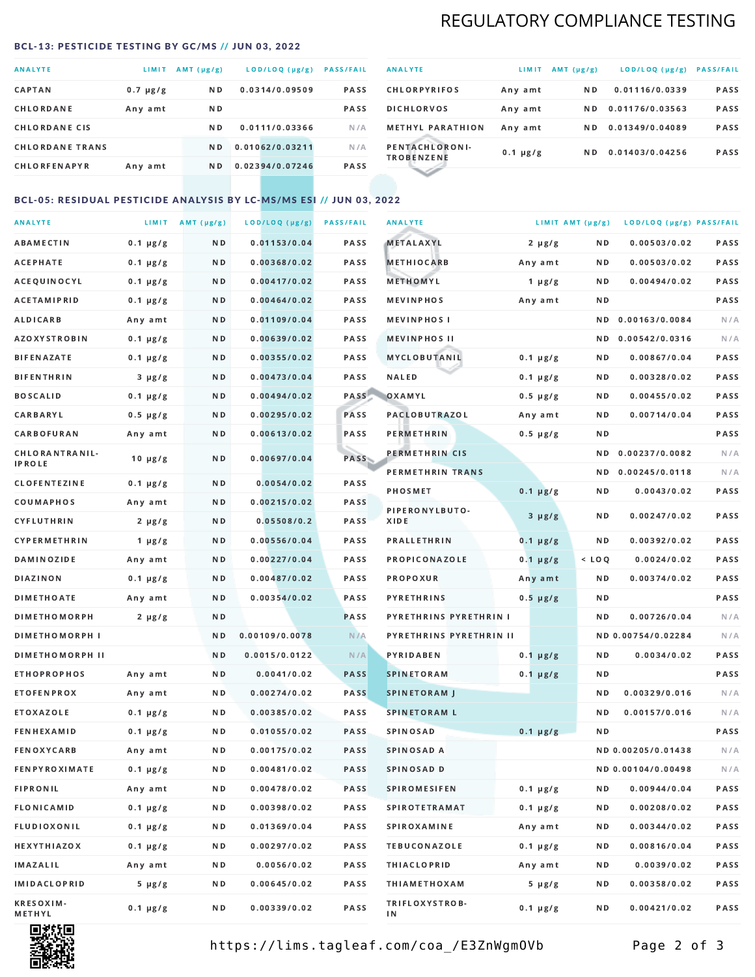# REGULATORY COMPLIANCE TESTING

#### <span id="page-1-0"></span>BCL-13: PESTICIDE TESTING BY GC/MS // JUN 03, 2022

| <b>ANALYTE</b>         | LIMIT         | $AMT(\mu g/g)$ | LOD/LOQ (µg/g)  | <b>PASS/FAIL</b> |
|------------------------|---------------|----------------|-----------------|------------------|
| <b>CAPTAN</b>          | $0.7 \mu g/g$ | ND.            | 0.0314/0.09509  | <b>PASS</b>      |
| CHLORDANE              | Any amt       | ND.            |                 | <b>PASS</b>      |
| <b>CHLORDANE CIS</b>   |               | N <sub>D</sub> | 0.0111/0.03366  | N/A              |
| <b>CHLORDANE TRANS</b> |               | N <sub>D</sub> | 0.01062/0.03211 | N/A              |
| <b>CHLORFENAPYR</b>    | Any amt       | N D            | 0.02394/0.07246 | <b>PASS</b>      |

| <b>ANALYTE</b>                      | LIMIT         | $AMT(\mu g/g)$ | LOD/LOQ (µg/g)  | <b>PASS/FAIL</b> |
|-------------------------------------|---------------|----------------|-----------------|------------------|
| <b>CHLORPYRIFOS</b>                 | Any amt       | N D            | 0.01116/0.0339  | <b>PASS</b>      |
| <b>DICHLORVOS</b>                   | Any amt       | N D            | 0.01176/0.03563 | <b>PASS</b>      |
| <b>METHYL PARATHION</b>             | Any amt       | ND.            | 0.01349/0.04089 | <b>PASS</b>      |
| PENTACHLORONI-<br><b>TROBENZENE</b> | $0.1 \mu g/g$ | ND.            | 0.01403/0.04256 | <b>PASS</b>      |
|                                     |               |                |                 |                  |

### BCL-05: RESIDUAL PESTICIDE ANALYSIS BY LC-MS/MS ESI // JUN 03, 2022

| <b>ANALYTE</b>             |               | LIMIT $AMT (\mu g/g)$ | LOD/LOQ (µg/g) | <b>PASS/FAIL</b> | <b>ANALYTE</b>          |               | LIMIT AMT $(\mu g/g)$ | LOD/LOQ (µg/g) PASS/FAIL |      |
|----------------------------|---------------|-----------------------|----------------|------------------|-------------------------|---------------|-----------------------|--------------------------|------|
| ABAMECTIN                  | $0.1 \mu g/g$ | N D                   | 0.01153/0.04   | PASS             | <b>METALAXYL</b>        | $2 \mu g/g$   | N D                   | 0.00503/0.02             | PASS |
| АСЕРНАТЕ                   | $0.1 \mu g/g$ | N D                   | 0.00368/0.02   | <b>PASS</b>      | <b>METHIOCARB</b>       | Any amt       | N D                   | 0.00503/0.02             | PASS |
| ACEQUINOCYL                | $0.1 \mu g/g$ | N D                   | 0.00417/0.02   | PASS             | METHOMYL                | 1 $\mu$ g/g   | N D                   | 0.00494/0.02             | PASS |
| <b>ACETAMIPRID</b>         | $0.1 \mu g/g$ | N D                   | 0.00464/0.02   | PASS             | <b>MEVINPHOS</b>        | Any amt       | ND.                   |                          | PASS |
| ALDICARB                   | Any amt       | N D                   | 0.01109/0.04   | <b>PASS</b>      | <b>MEVINPHOS I</b>      |               | ND.                   | 0.00163/0.0084           | N/A  |
| <b>AZOXYSTROBIN</b>        | $0.1 \mu g/g$ | N D                   | 0.00639/0.02   | <b>PASS</b>      | <b>MEVINPHOS II</b>     |               | N D                   | 0.00542/0.0316           | N/A  |
| BIFENAZATE                 | $0.1 \mu g/g$ | N D                   | 0.00355/0.02   | PASS             | MYCLOBUTANIL            | $0.1 \mu g/g$ | N D                   | 0.00867/0.04             | PASS |
| <b>BIFENTHRIN</b>          | $3 \mu g/g$   | N D                   | 0.00473/0.04   | PASS             | <b>NALED</b>            | $0.1 \mu g/g$ | N D                   | 0.00328/0.02             | PASS |
| <b>BOSCALID</b>            | $0.1 \mu g/g$ | N D                   | 0.00494/0.02   | PASS             | OXAMYL                  | $0.5 \mu g/g$ | ND                    | 0.00455/0.02             | PASS |
| <b>CARBARYL</b>            | $0.5 \mu g/g$ | N D                   | 0.00295/0.02   | PASS             | <b>PACLOBUTRAZOL</b>    | Any amt       | N D                   | 0.00714/0.04             | PASS |
| CARBOFURAN                 | Any amt       | N D                   | 0.00613/0.02   | PASS             | PERMETHRIN              | $0.5 \mu g/g$ | N D                   |                          | PASS |
| CHLORANTRANIL-             | $10 \mu g/g$  | N D                   | 0.00697/0.04   | PASS             | PERMETHRIN CIS          |               | ND.                   | 0.00237/0.0082           | N/A  |
| <b>IPROLE</b>              |               |                       |                |                  | PERMETHRIN TRANS        |               |                       | ND 0.00245/0.0118        | N/A  |
| <b>CLOFENTEZINE</b>        | $0.1 \mu g/g$ | N D                   | 0.0054/0.02    | PASS             | <b>PHOSMET</b>          | $0.1 \mu g/g$ | N D                   | 0.0043/0.02              | PASS |
| COUMAPHOS                  | Any amt       | N D                   | 0.00215/0.02   | PASS             | PIPERONYLBUTO-          | $3 \mu g/g$   | N D                   | 0.00247/0.02             | PASS |
| CYFLUTHRIN                 | $2 \mu g/g$   | N D                   | 0.05508/0.2    | <b>PASS</b>      | XIDE                    |               |                       |                          |      |
| <b>CYPERMETHRIN</b>        | $1 \mu g/g$   | N D                   | 0.00556/0.04   | PASS             | <b>PRALLETHRIN</b>      | $0.1 \mu g/g$ | N D                   | 0.00392/0.02             | PASS |
| <b>DAMINOZIDE</b>          | Any amt       | N D                   | 0.00227/0.04   | PASS             | PROPICONAZOLE           | $0.1 \mu g/g$ | $<$ LOQ               | 0.0024/0.02              | PASS |
| <b>DIAZINON</b>            | $0.1 \mu g/g$ | N D                   | 0.00487/0.02   | <b>PASS</b>      | <b>PROPOXUR</b>         | Any amt       | N D                   | 0.00374/0.02             | PASS |
| <b>DIMETHOATE</b>          | Any amt       | N D                   | 0.00354/0.02   | <b>PASS</b>      | <b>PYRETHRINS</b>       | $0.5 \mu g/g$ | N D                   |                          | PASS |
| <b>DIMETHOMORPH</b>        | $2 \mu g/g$   | N D                   |                | <b>PASS</b>      | PYRETHRINS PYRETHRIN I  |               | N D                   | 0.00726/0.04             | N/A  |
| <b>DIMETHOMORPH I</b>      |               | N D                   | 0.00109/0.0078 | N/A              | PYRETHRINS PYRETHRIN II |               |                       | ND 0.00754/0.02284       | N/A  |
| <b>DIMETHOMORPH II</b>     |               | ND.                   | 0.0015/0.0122  | N/A              | PYRIDABEN               | $0.1 \mu g/g$ | N D                   | 0.0034/0.02              | PASS |
| <b>ETHOPROPHOS</b>         | Any amt       | N D                   | 0.0041/0.02    | <b>PASS</b>      | <b>SPINETORAM</b>       | $0.1 \mu g/g$ | N D                   |                          | PASS |
| <b>ETOFENPROX</b>          | Any amt       | N D                   | 0.00274/0.02   | <b>PASS</b>      | <b>SPINETORAM J</b>     |               | N D                   | 0.00329/0.016            | N/A  |
| ETOXAZOLE                  | $0.1 \mu g/g$ | N D                   | 0.00385/0.02   | PASS             | <b>SPINETORAM L</b>     |               | ND.                   | 0.00157/0.016            | N/A  |
| <b>FENHEXAMID</b>          | $0.1 \mu g/g$ | N D                   | 0.01055/0.02   | <b>PASS</b>      | <b>SPINOSAD</b>         | $0.1 \mu g/g$ | N D                   |                          | PASS |
| FENOXYCARB                 | Any amt       | N D                   | 0.00175/0.02   | <b>PASS</b>      | SPINOSAD A              |               |                       | ND 0.00205/0.01438       | N/A  |
| <b>FENPYROXIMATE</b>       | $0.1 \mu g/g$ | N D                   | 0.00481/0.02   | PASS             | SPINOSAD D              |               |                       | ND 0.00104/0.00498       | N/A  |
| <b>FIPRONIL</b>            | Any amt       | N D                   | 0.00478/0.02   | PASS             | <b>SPIROMESIFEN</b>     | $0.1 \mu g/g$ | ND.                   | 0.00944/0.04             | PASS |
| FLONICAMID                 | $0.1 \mu g/g$ | N D                   | 0.00398/0.02   | PASS             | <b>SPIROTETRAMAT</b>    | $0.1 \mu g/g$ | N D                   | 0.00208/0.02             | PASS |
| FLUDIOXONIL                | $0.1 \mu g/g$ | N D                   | 0.01369/0.04   | PASS             | <b>SPIROXAMINE</b>      | Any amt       | N D                   | 0.00344/0.02             | PASS |
| <b>HEXYTHIAZOX</b>         | $0.1 \mu g/g$ | N D                   | 0.00297/0.02   | PASS             | <b>TEBUCONAZOLE</b>     | $0.1 \mu g/g$ | N D                   | 0.00816/0.04             | PASS |
| <b>IMAZALIL</b>            | Any amt       | N D                   | 0.0056/0.02    | PASS             | <b>THIACLOPRID</b>      | Any amt       | N D                   | 0.0039/0.02              | PASS |
| <b>IMIDACLOPRID</b>        | $5 \mu g/g$   | N D                   | 0.00645/0.02   | PASS             | <b>THIAMETHOXAM</b>     | $5 \mu g/g$   | N D                   | 0.00358/0.02             | PASS |
| <b>KRESOXIM-</b><br>METHYL | $0.1 \mu g/g$ | N D                   | 0.00339/0.02   | PASS             | TRIFLOXYSTROB-<br>ΙN    | $0.1 \mu g/g$ | N D                   | 0.00421/0.02             | PASS |